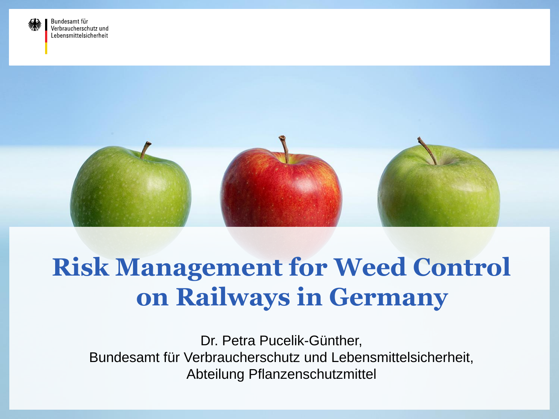



# **Risk Management for Weed Control on Railways in Germany**

Dr. Petra Pucelik-Günther, Bundesamt für Verbraucherschutz und Lebensmittelsicherheit, Abteilung Pflanzenschutzmittel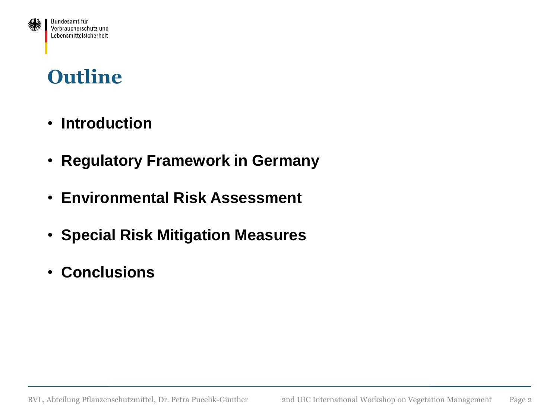#### **Outline**

Bundesamt für Verbraucherschutz und Lebensmittelsicherheit

- • **Introduction**
- • **Regulatory Framework in Germany**
- • **Environmental Risk Assessment**
- • **Special Risk Mitigation Measures**
- • **Conclusions**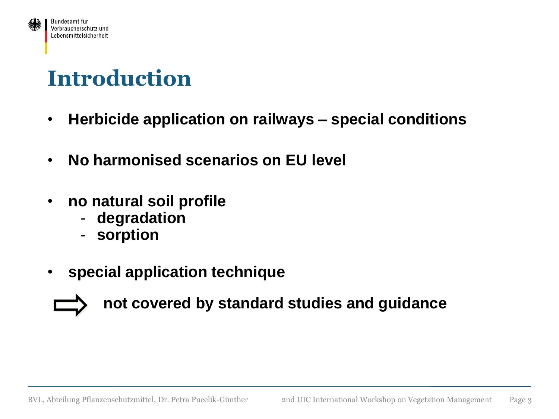

- **Herbicide application on railways – special conditions**
- **No harmonised scenarios on EU level**
- **no natural soil profile**
	- **degradation**
	- **sorption**
- **special application technique**



 **not covered by standard studies and guidance**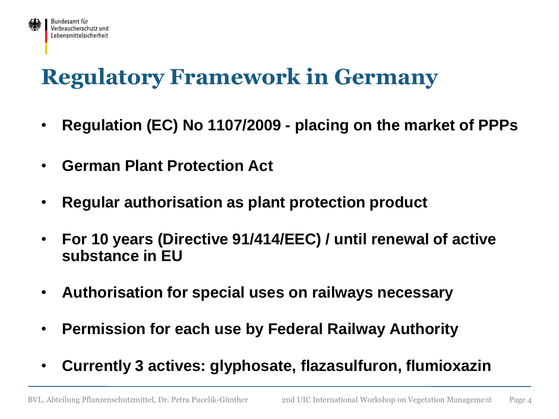

# **Regulatory Framework in Germany**

- **Regulation (EC) No 1107/2009 - placing on the market of PPPs**
- **German Plant Protection Act**
- **Regular authorisation as plant protection product**
- **For 10 years (Directive 91/414/EEC) / until renewal of active substance in EU**
- **Authorisation for special uses on railways necessary**
- **Permission for each use by Federal Railway Authority**
- **Currently 3 actives: glyphosate, flazasulfuron, flumioxazin**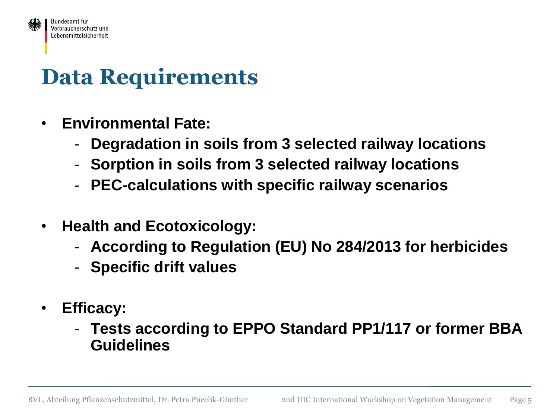

# **Data Requirements**

- **Environmental Fate:**
	- **Degradation in soils from 3 selected railway locations**
	- **Sorption in soils from 3 selected railway locations**
	- **PEC-calculations with specific railway scenarios**
- **Health and Ecotoxicology:**
	- **According to Regulation (EU) No 284/2013 for herbicides**
	- **Specific drift values**
- **Efficacy:**
	- **Tests according to EPPO Standard PP1/117 or former BBA Guidelines**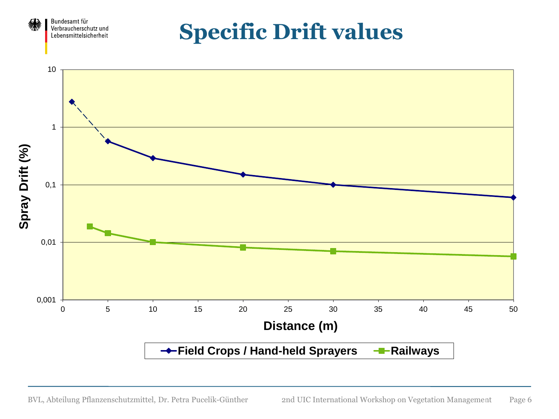

**Specific Drift values**

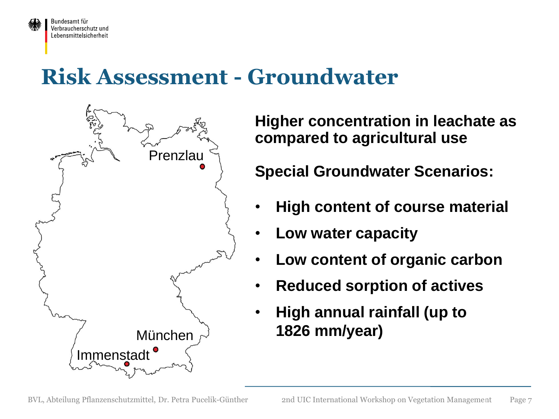

#### **Risk Assessment - Groundwater**



**Higher concentration in leachate as compared to agricultural use**

**Special Groundwater Scenarios:**

- **High content of course material**
- **Low water capacity**
- **Low content of organic carbon**
- **Reduced sorption of actives**
- **High annual rainfall (up to 1826 mm/year)**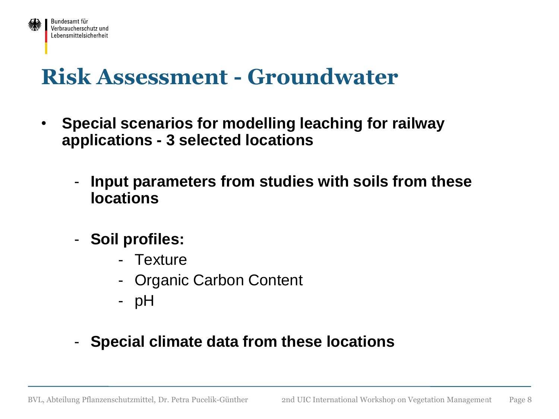

#### **Risk Assessment - Groundwater**

- **Special scenarios for modelling leaching for railway applications - 3 selected locations**
	- **Input parameters from studies with soils from these locations**
	- **Soil profiles:**
		- Texture
		- Organic Carbon Content
		- pH
	- **Special climate data from these locations**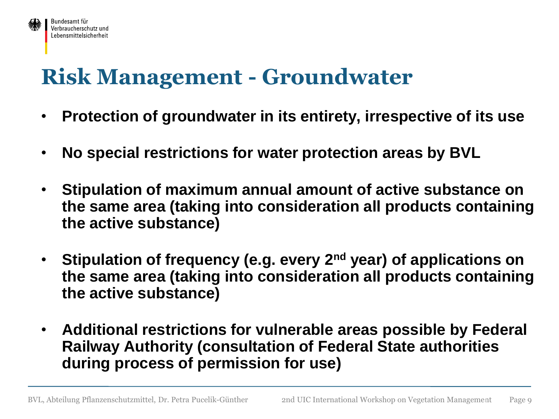#### **Risk Management - Groundwater**

Bundesamt für Verbraucherschutz und Lebensmittelsicherheit

- **Protection of groundwater in its entirety, irrespective of its use**
- **No special restrictions for water protection areas by BVL**
- **Stipulation of maximum annual amount of active substance on the same area (taking into consideration all products containing the active substance)**
- **Stipulation of frequency (e.g. every 2nd year) of applications on the same area (taking into consideration all products containing the active substance)**
- **Additional restrictions for vulnerable areas possible by Federal Railway Authority (consultation of Federal State authorities during process of permission for use)**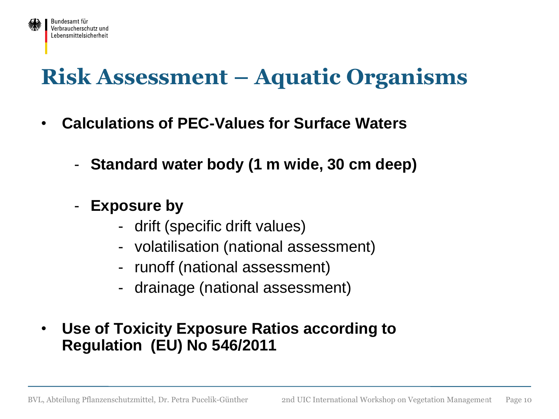

#### **Risk Assessment – Aquatic Organisms**

- **Calculations of PEC-Values for Surface Waters** 
	- **Standard water body (1 m wide, 30 cm deep)**
	- **Exposure by** 
		- drift (specific drift values)
		- volatilisation (national assessment)
		- runoff (national assessment)
		- drainage (national assessment)
- **Use of Toxicity Exposure Ratios according to Regulation (EU) No 546/2011**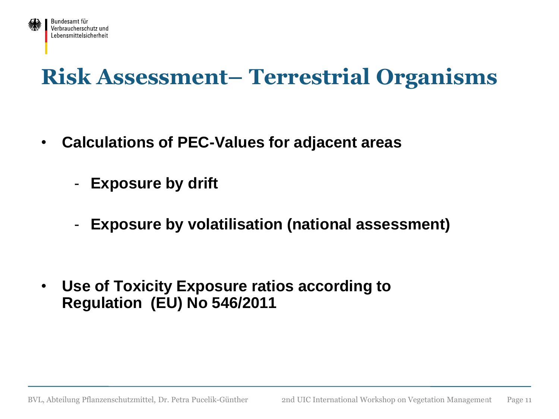

# **Risk Assessment– Terrestrial Organisms**

- **Calculations of PEC-Values for adjacent areas** 
	- **Exposure by drift**
	- **Exposure by volatilisation (national assessment)**

• **Use of Toxicity Exposure ratios according to Regulation (EU) No 546/2011**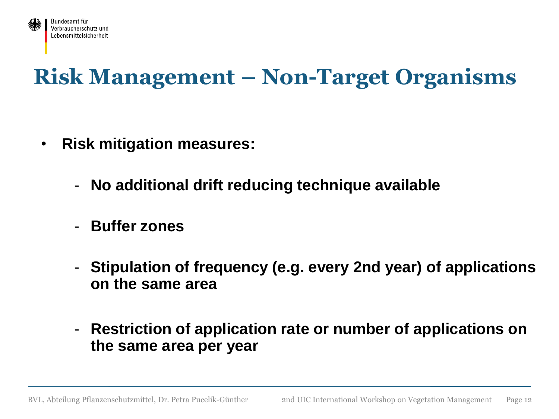

# **Risk Management – Non-Target Organisms**

- **Risk mitigation measures:**
	- **No additional drift reducing technique available**
	- **Buffer zones**
	- **Stipulation of frequency (e.g. every 2nd year) of applications on the same area**
	- **Restriction of application rate or number of applications on the same area per year**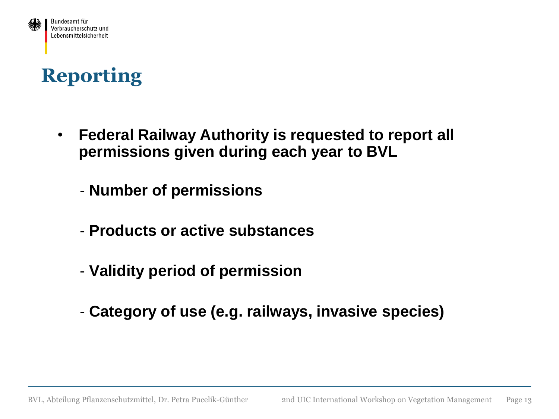

#### **Reporting**

• **Federal Railway Authority is requested to report all permissions given during each year to BVL** 

- **Number of permissions**

- **Products or active substances**
- **Validity period of permission**
- **Category of use (e.g. railways, invasive species)**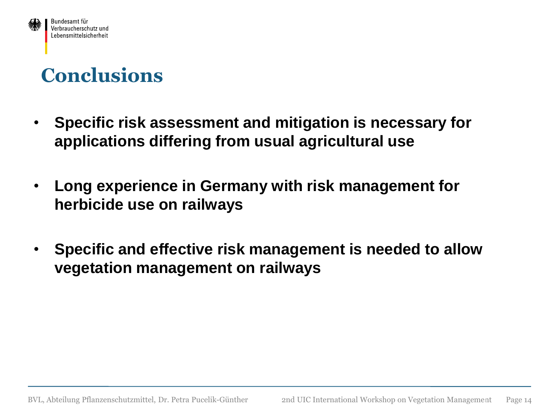

#### **Conclusions**

- **Specific risk assessment and mitigation is necessary for applications differing from usual agricultural use**
- **Long experience in Germany with risk management for herbicide use on railways**
- **Specific and effective risk management is needed to allow vegetation management on railways**